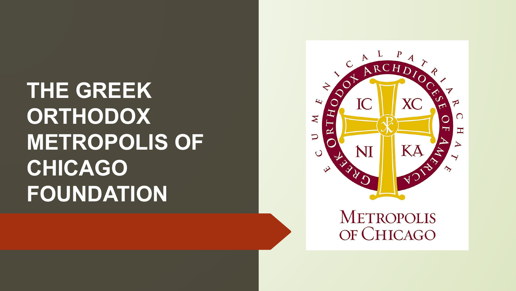# **THE GREEK ORTHODOX METROPOLIS OF CHICAGO FOUNDATION**

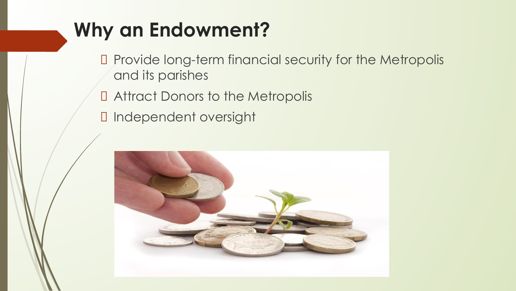## **Why an Endowment?**

- D Provide long-term financial security for the Metropolis and its parishes
- Attract Donors to the Metropolis
- Independent oversight

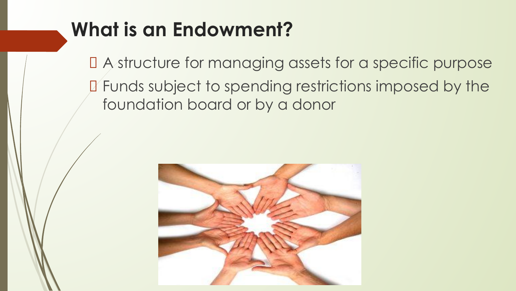## **What is an Endowment?**

 A structure for managing assets for a specific purpose Funds subject to spending restrictions imposed by the foundation board or by a donor

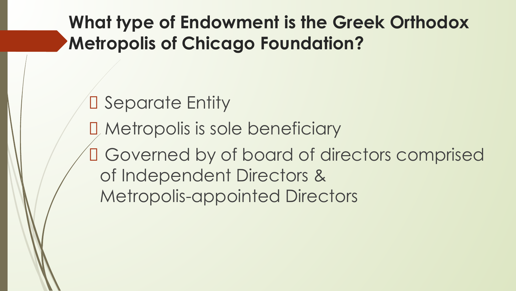**What type of Endowment is the Greek Orthodox Metropolis of Chicago Foundation?**

D Separate Entity Metropolis is sole beneficiary Governed by of board of directors comprised of Independent Directors & Metropolis-appointed Directors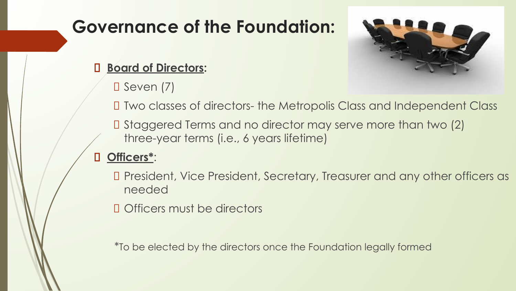### **Governance of the Foundation:**



#### **Board of Directors:**

 $\Box$  Seven (7)

Two classes of directors- the Metropolis Class and Independent Class

 Staggered Terms and no director may serve more than two (2) three-year terms (i.e., 6 years lifetime)

#### **Officers\***:

 President, Vice President, Secretary, Treasurer and any other officers as needed

D Officers must be directors

\*To be elected by the directors once the Foundation legally formed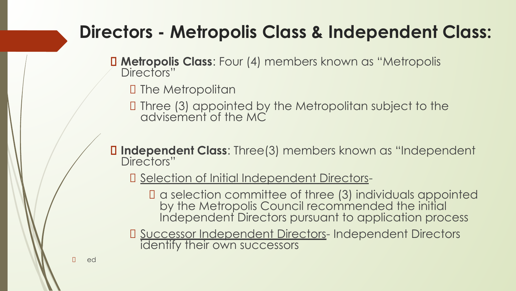### **Directors - Metropolis Class & Independent Class:**

- **Metropolis Class**: Four (4) members known as "Metropolis Directors"
	- **D** The Metropolitan
	- Three (3) appointed by the Metropolitan subject to the advisement of the MC
- **Independent Class**: Three(3) members known as "Independent Directors"
	- D Selection of Initial Independent Directors
		- a selection committee of three (3) individuals appointed by the Metropolis Council recommended the initial Independent Directors pursuant to application process
	- D Successor Independent Directors- Independent Directors identify their own successors

D ed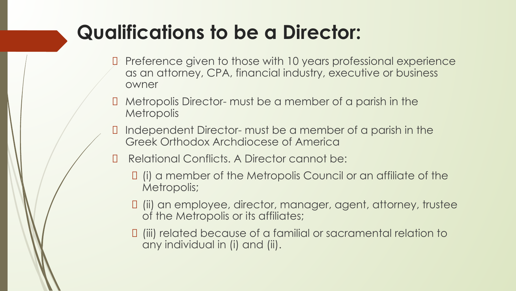## **Qualifications to be a Director:**

- Preference given to those with 10 years professional experience as an attorney, CPA, financial industry, executive or business owner
- Metropolis Director- must be a member of a parish in the **Metropolis**
- Independent Director- must be a member of a parish in the Greek Orthodox Archdiocese of America
- **D** Relational Conflicts. A Director cannot be:
	- (i) a member of the Metropolis Council or an affiliate of the Metropolis;
	- (ii) an employee, director, manager, agent, attorney, trustee of the Metropolis or its affiliates;
	- (iii) related because of a familial or sacramental relation to any individual in (i) and (ii).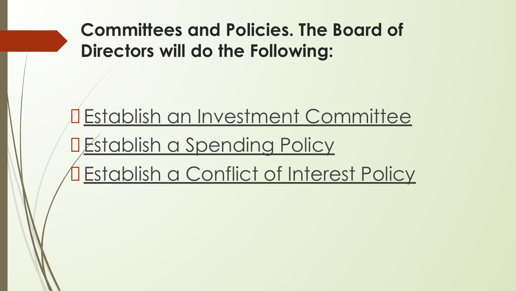**Committees and Policies. The Board of Directors will do the Following:**

Establish an Investment Committee DEstablish a Spending Policy Establish a Conflict of Interest Policy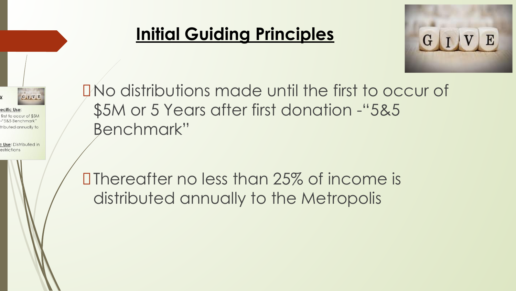

ecific Use: first to occur of \$5M ributed annually to

c Use: Distributed in estrictions

### **Initial Guiding Principles**



No distributions made until the first to occur of \$5M or 5 Years after first donation -"5&5 Benchmark"

Thereafter no less than 25% of income is distributed annually to the Metropolis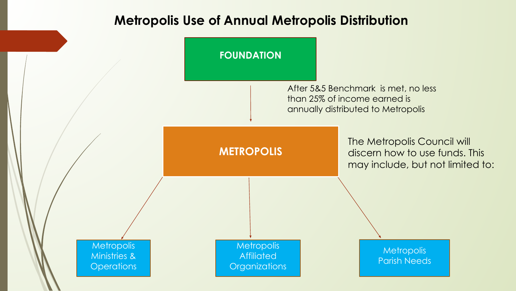#### **Metropolis Use of Annual Metropolis Distribution**